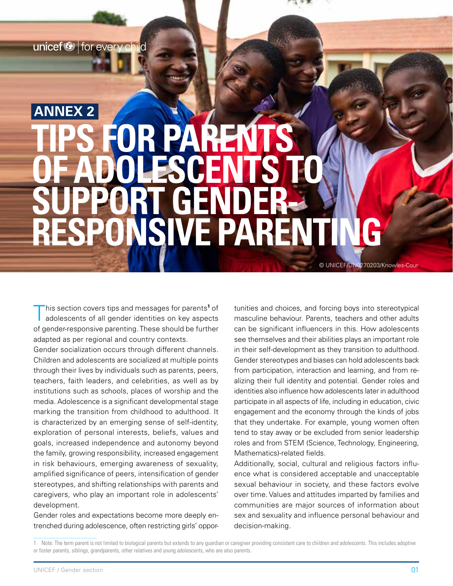unicef<sup>®</sup> for every child

# S FOR PARENT **DOLESCENTS SUPPORT GENDER-RESPONSIVE PARENTING ANNEX 2**

This section covers tips and messages for parents<sup>1</sup> of adolescents of all gender identities on key aspects his section covers tips and messages for parents<sup>1</sup> of of gender-responsive parenting. These should be further adapted as per regional and country contexts.

Gender socialization occurs through different channels. Children and adolescents are socialized at multiple points through their lives by individuals such as parents, peers, teachers, faith leaders, and celebrities, as well as by institutions such as schools, places of worship and the media. Adolescence is a significant developmental stage marking the transition from childhood to adulthood. It is characterized by an emerging sense of self-identity, exploration of personal interests, beliefs, values and goals, increased independence and autonomy beyond the family, growing responsibility, increased engagement in risk behaviours, emerging awareness of sexuality, amplified significance of peers, intensification of gender stereotypes, and shifting relationships with parents and caregivers, who play an important role in adolescents' development.

Gender roles and expectations become more deeply entrenched during adolescence, often restricting girls' opportunities and choices, and forcing boys into stereotypical masculine behaviour. Parents, teachers and other adults can be significant influencers in this. How adolescents see themselves and their abilities plays an important role in their self-development as they transition to adulthood. Gender stereotypes and biases can hold adolescents back from participation, interaction and learning, and from realizing their full identity and potential. Gender roles and identities also influence how adolescents later in adulthood participate in all aspects of life, including in education, civic engagement and the economy through the kinds of jobs that they undertake. For example, young women often tend to stay away or be excluded from senior leadership roles and from STEM (Science, Technology, Engineering, Mathematics)-related fields.

 $G_{\rm{H}}$  and  $G_{\rm{H}}$  are not in the parent number  $\alpha$ 

© UNICEF/UN0270203/Knowles-Cour

Additionally, social, cultural and religious factors influence what is considered acceptable and unacceptable sexual behaviour in society, and these factors evolve over time. Values and attitudes imparted by families and communities are major sources of information about sex and sexuality and influence personal behaviour and decision-making.

Note: The term parent is not limited to biological parents but extends to any guardian or caregiver providing consistent care to children and adolescents. This includes adoptive or foster parents, siblings, grandparents, other relatives and young adolescents, who are also parents.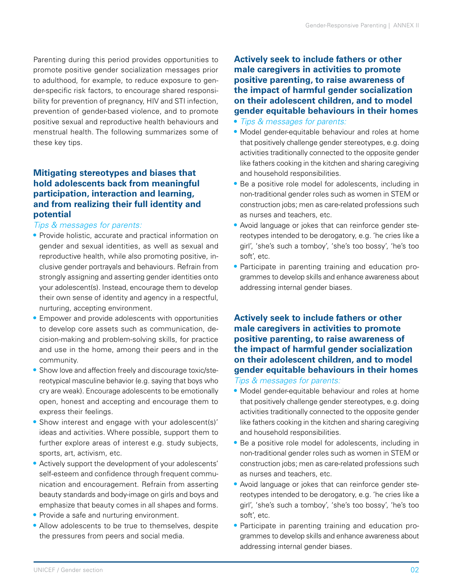Parenting during this period provides opportunities to promote positive gender socialization messages prior to adulthood, for example, to reduce exposure to gender-specific risk factors, to encourage shared responsibility for prevention of pregnancy, HIV and STI infection, prevention of gender-based violence, and to promote positive sexual and reproductive health behaviours and menstrual health. The following summarizes some of these key tips.

## **Mitigating stereotypes and biases that hold adolescents back from meaningful participation, interaction and learning, and from realizing their full identity and potential**

#### *Tips & messages for parents:*

- **•** Provide holistic, accurate and practical information on gender and sexual identities, as well as sexual and reproductive health, while also promoting positive, inclusive gender portrayals and behaviours. Refrain from strongly assigning and asserting gender identities onto your adolescent(s). Instead, encourage them to develop their own sense of identity and agency in a respectful, nurturing, accepting environment.
- **•** Empower and provide adolescents with opportunities to develop core assets such as communication, decision-making and problem-solving skills, for practice and use in the home, among their peers and in the community.
- **•** Show love and affection freely and discourage toxic/stereotypical masculine behavior (e.g. saying that boys who cry are weak). Encourage adolescents to be emotionally open, honest and accepting and encourage them to express their feelings.
- **•** Show interest and engage with your adolescent(s)' ideas and activities. Where possible, support them to further explore areas of interest e.g. study subjects, sports, art, activism, etc.
- **•** Actively support the development of your adolescents' self-esteem and confidence through frequent communication and encouragement. Refrain from asserting beauty standards and body-image on girls and boys and emphasize that beauty comes in all shapes and forms.
- **•** Provide a safe and nurturing environment.
- **•** Allow adolescents to be true to themselves, despite the pressures from peers and social media.

**Actively seek to include fathers or other male caregivers in activities to promote positive parenting, to raise awareness of the impact of harmful gender socialization on their adolescent children, and to model gender equitable behaviours in their homes**

- **•** *Tips & messages for parents:*
- **•** Model gender-equitable behaviour and roles at home that positively challenge gender stereotypes, e.g. doing activities traditionally connected to the opposite gender like fathers cooking in the kitchen and sharing caregiving and household responsibilities.
- **•** Be a positive role model for adolescents, including in non-traditional gender roles such as women in STEM or construction jobs; men as care-related professions such as nurses and teachers, etc.
- **•** Avoid language or jokes that can reinforce gender stereotypes intended to be derogatory, e.g. 'he cries like a girl', 'she's such a tomboy', 'she's too bossy', 'he's too soft', etc.
- **•** Participate in parenting training and education programmes to develop skills and enhance awareness about addressing internal gender biases.

# **Actively seek to include fathers or other male caregivers in activities to promote positive parenting, to raise awareness of the impact of harmful gender socialization on their adolescent children, and to model gender equitable behaviours in their homes**

#### *Tips & messages for parents:*

- **•** Model gender-equitable behaviour and roles at home that positively challenge gender stereotypes, e.g. doing activities traditionally connected to the opposite gender like fathers cooking in the kitchen and sharing caregiving and household responsibilities.
- **•** Be a positive role model for adolescents, including in non-traditional gender roles such as women in STEM or construction jobs; men as care-related professions such as nurses and teachers, etc.
- **•** Avoid language or jokes that can reinforce gender stereotypes intended to be derogatory, e.g. 'he cries like a girl', 'she's such a tomboy', 'she's too bossy', 'he's too soft', etc.
- **•** Participate in parenting training and education programmes to develop skills and enhance awareness about addressing internal gender biases.